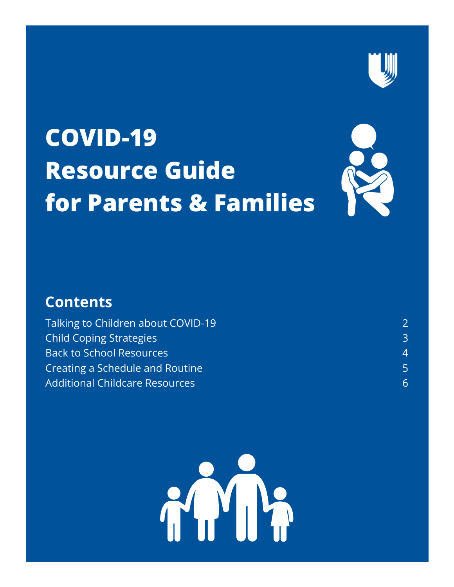

# **[COVID-19](https://duke.app.box.com/folder/109356359758) [Resource](https://duke.app.box.com/folder/109356359758) Guide for Parents & [Families](https://duke.app.box.com/folder/109356359758)**



## **Contents**

| Talking to Children about COVID-19    |               |
|---------------------------------------|---------------|
| <b>Child Coping Strategies</b>        | $\mathcal{B}$ |
| <b>Back to School Resources</b>       | 4.            |
| Creating a Schedule and Routine       |               |
| <b>Additional Childcare Resources</b> | 6.            |

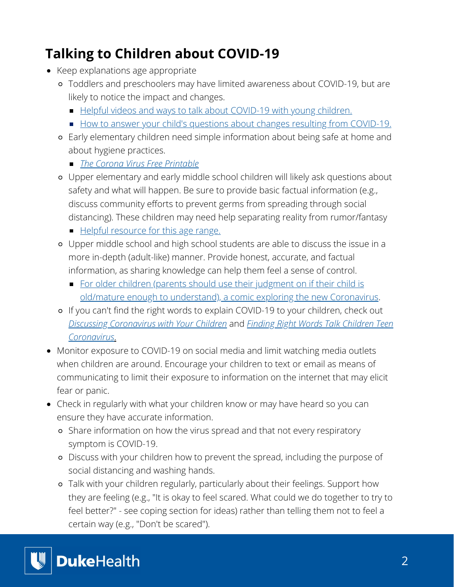# **[Talking to Children about COVID-19](https://duke.box.com/s/pqrf5z46ytubmahimitb3ak9ac74bvhg)**

- Keep explanations age appropriate
	- Toddlers and preschoolers may have limited awareness about COVID-19, but are likely to notice the impact and changes.
		- [Helpful videos and ways to talk about COVID-19 with young children.](https://www.pbs.org/parents/thrive/how-to-talk-to-your-kids-about-coronavirus)
		- [How to answer your child's questions about changes resulting from COVID-19.](https://www.zerotothree.org/resources/3210-tips-for-families-coronavirus)
	- Early elementary children need simple information about being safe at home and about hygiene practices.
		- *[The Corona Virus Free Printable](https://duke.box.com/s/15mipg3oifezppa5sa2oig26d9engacr)*
	- Upper elementary and early middle school children will likely ask questions about safety and what will happen. Be sure to provide basic factual information (e.g., discuss community efforts to prevent germs from spreading through social distancing). These children may need help separating reality from rumor/fantasy
		- [Helpful resource for this age range.](https://www.brainpop.com/health/diseasesinjuriesandconditions/coronavirus/)
	- Upper middle school and high school students are able to discuss the issue in a more in-depth (adult-like) manner. Provide honest, accurate, and factual information, as sharing knowledge can help them feel a sense of control.
		- For older children (parents should use their judgment on if their child is [old/mature enough to understand\), a comic exploring the new Coronavirus](https://www.npr.org/sections/goatsandsoda/2020/02/28/809580453/just-for-kids-a-comic-exploring-the-new-coronavirus).
	- If you can't find the right words to explain COVID-19 to your children, check out *[Discussing Coronavirus with Your Children](https://duke.box.com/s/l9k88p2g7d2cgpjufqr624hwy6r2lfu6)* and *Finding Right Words Talk Children Teen Coronavirus*[.](https://duke.box.com/s/aetuy8u4evn5ifcp47gu03r535kjz2ck)
- Monitor exposure to COVID-19 on social media and limit watching media outlets when children are around. Encourage your children to text or email as means of communicating to limit their exposure to information on the internet that may elicit fear or panic.
- Check in regularly with what your children know or may have heard so you can ensure they have accurate information.
	- Share information on how the virus spread and that not every respiratory symptom is COVID-19.
	- Discuss with your children how to prevent the spread, including the purpose of social distancing and washing hands.
	- Talk with your children regularly, particularly about their feelings. Support how they are feeling (e.g., "It is okay to feel scared. What could we do together to try to feel better?" - see coping section for ideas) rather than telling them not to feel a certain way (e.g., "Don't be scared").

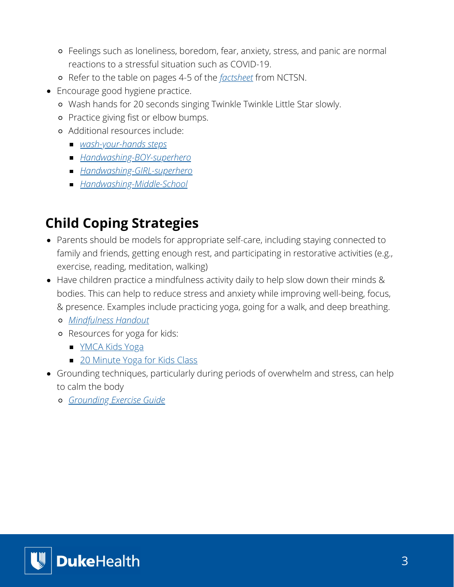- Feelings such as loneliness, boredom, fear, anxiety, stress, and panic are normal reactions to a stressful situation such as COVID-19.
- Refer to the table on pages 4-5 of the *[factsheet](https://duke.box.com/s/9o46walzue779dxo2zzjm8gr2z828pz1)* from NCTSN.
- Encourage good hygiene practice.
	- Wash hands for 20 seconds singing Twinkle Twinkle Little Star slowly.
	- Practice giving fist or elbow bumps.
	- Additional resources include:
		- *[wash-your-hands steps](https://duke.box.com/s/5zglwssy1r7giv28kp1rvw402j3t9zit)*
		- *[Handwashing-BOY-superhero](https://duke.box.com/s/vgii688hoqalubgozaldcflf02du9vej)*
		- *[Handwashing-GIRL-superhero](https://duke.box.com/s/3wi2g62unf764jfe5ybxscj2llk6qaei)*
		- *[Handwashing-Middle-School](https://duke.box.com/s/ieb02eg6kd59nxxeknyii7g27u34tlk1)*

# **[Child Coping Strategies](https://duke.box.com/s/wgijeg4qazfocwt1d2fbjn2bw0elo620)**

- Parents should be models for appropriate self-care, including staying connected to family and friends, getting enough rest, and participating in restorative activities (e.g., exercise, reading, meditation, walking)
- Have children practice a mindfulness activity daily to help slow down their minds & bodies. This can help to reduce stress and anxiety while improving well-being, focus, & presence. Examples include practicing yoga, going for a walk, and deep breathing.
	- *[Mindfulness Handout](https://duke.box.com/s/0orhzuw9q9foe6s5diqqe3to9fnvi3k1)*
	- Resources for yoga for kids:
		- **MCA Kids Yoga**
		- [20 Minute Yoga for Kids Class](https://www.youtube.com/watch?v=CBko9JPMtHs)
- Grounding techniques, particularly during periods of overwhelm and stress, can help to calm the body
	- *[Grounding Exercise Guide](https://duke.box.com/s/3rh7pjraktk4b0c9rada1devxqy66jdn)*

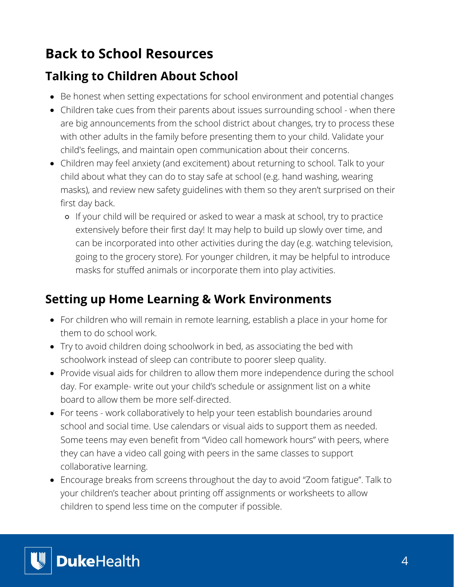## **Back to School Resources**

#### **Talking to Children About School**

- Be honest when setting expectations for school environment and potential changes
- Children take cues from their parents about issues surrounding school when there are big announcements from the school district about changes, try to process these with other adults in the family before presenting them to your child. Validate your child's feelings, and maintain open communication about their concerns.
- Children may feel anxiety (and excitement) about returning to school. Talk to your child about what they can do to stay safe at school (e.g. hand washing, wearing masks), and review new safety guidelines with them so they aren't surprised on their first day back.
	- If your child will be required or asked to wear a mask at school, try to practice extensively before their first day! It may help to build up slowly over time, and can be incorporated into other activities during the day (e.g. watching television, going to the grocery store). For younger children, it may be helpful to introduce masks for stuffed animals or incorporate them into play activities.

#### **Setting up Home Learning & Work Environments**

- For children who will remain in remote learning, establish a place in your home for them to do school work.
- Try to avoid children doing schoolwork in bed, as associating the bed with schoolwork instead of sleep can contribute to poorer sleep quality.
- Provide visual aids for children to allow them more independence during the school day. For example- write out your child's schedule or assignment list on a white board to allow them be more self-directed.
- For teens work collaboratively to help your teen establish boundaries around school and social time. Use calendars or visual aids to support them as needed. Some teens may even benefit from "Video call homework hours" with peers, where they can have a video call going with peers in the same classes to support collaborative learning.
- Encourage breaks from screens throughout the day to avoid "Zoom fatigue". Talk to your children's teacher about printing off assignments or worksheets to allow children to spend less time on the computer if possible.

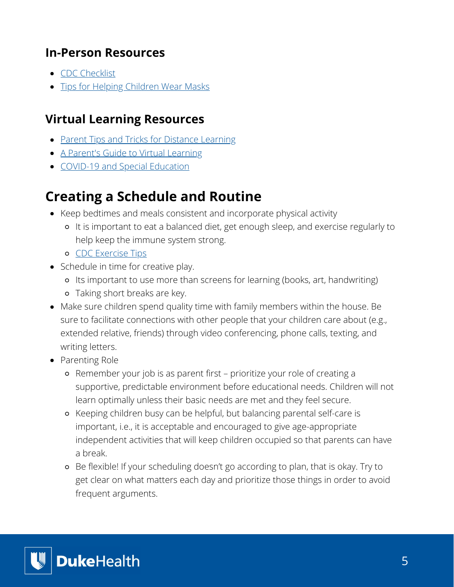#### **In-Person Resources**

- [CDC Checklist](https://www.cdc.gov/coronavirus/2019-ncov/community/pdf/Back-to-School-Planning-for-In-Person-Classes.pdf)
- [Tips for Helping Children Wear Masks](https://www.healthychildren.org/English/health-issues/conditions/COVID-19/Pages/Cloth-Face-Coverings-for-Children-During-COVID-19.aspx)

### **Virtual Learning Resources**

- [Parent Tips and Tricks for Distance Learning](https://wideopenschool.org/families-and-teachers/for-families/?j=7921453&sfmc_sub=167724671&l=2048712_HTML&u=150934124&mid=6409703&jb=73)
- [A Parent's Guide to Virtual Learning](https://www.ncld.org/wp-content/uploads/2020/03/A-Parents-Guide-to-Virtual-Learning-4-Actions-To-Improve-your-Childs-Experience-with-Online-Learning.pdf)
- [COVID-19 and Special Education](https://disabilityrightsnc.org/general/covid-19-and-special-education)

# **[Creating a Schedule and Routine](https://duke.box.com/s/15vv2nphnkjeskp0it0ofvg3mejrxf3j)**

- Keep bedtimes and meals consistent and incorporate physical activity
	- It is important to eat a balanced diet, get enough sleep, and exercise regularly to help keep the immune system strong.
	- o [CDC Exercise Tips](https://www.cdc.gov/physicalactivity/basics/children/index.htm)
- Schedule in time for creative play.
	- Its important to use more than screens for learning (books, art, handwriting)
	- Taking short breaks are key.
- Make sure children spend quality time with family members within the house. Be sure to facilitate connections with other people that your children care about (e.g., extended relative, friends) through video conferencing, phone calls, texting, and writing letters.
- Parenting Role
	- Remember your job is as parent first prioritize your role of creating a supportive, predictable environment before educational needs. Children will not learn optimally unless their basic needs are met and they feel secure.
	- Keeping children busy can be helpful, but balancing parental self-care is important, i.e., it is acceptable and encouraged to give age-appropriate independent activities that will keep children occupied so that parents can have a break.
	- Be flexible! If your scheduling doesn't go according to plan, that is okay. Try to get clear on what matters each day and prioritize those things in order to avoid frequent arguments.